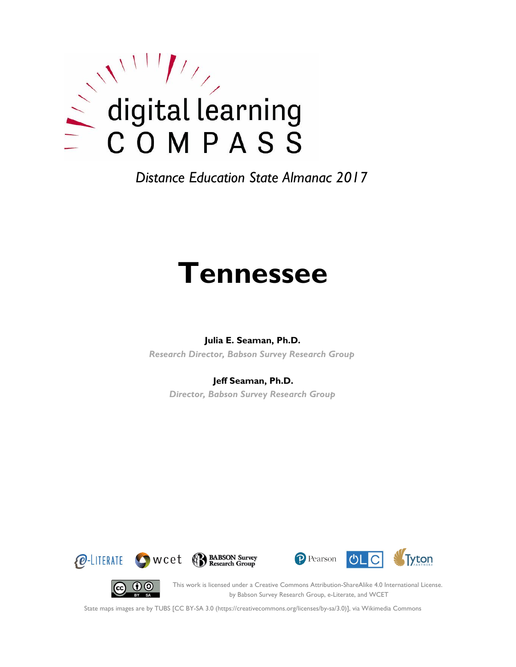

# **Tennessee**

### **Julia E. Seaman, Ph.D.**

*Research Director, Babson Survey Research Group*

### **Jeff Seaman, Ph.D.**

*Director, Babson Survey Research Group*







(cc)

This work is licensed under a Creative Commons Attribution-ShareAlike 4.0 International License. by Babson Survey Research Group, e-Literate, and WCET

State maps images are by TUBS [CC BY-SA 3.0 (https://creativecommons.org/licenses/by-sa/3.0)], via Wikimedia Commons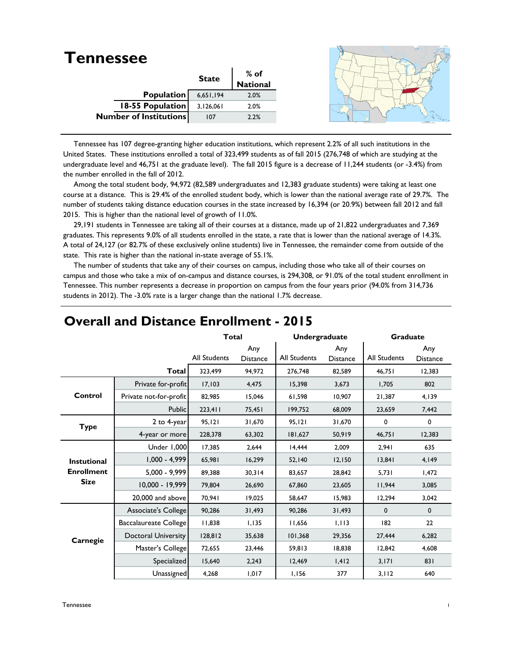| <b>Tennessee</b>              |              |                  |  |
|-------------------------------|--------------|------------------|--|
|                               | <b>State</b> |                  |  |
|                               |              | % of<br>National |  |
| <b>Population</b>             | 6,651,194    | 2.0%             |  |
| <b>18-55 Population</b>       | 3,126,061    | 2.0%             |  |
| <b>Number of Institutions</b> | 107          | 2.2%             |  |
|                               |              |                  |  |

 Tennessee has 107 degree-granting higher education institutions, which represent 2.2% of all such institutions in the United States. These institutions enrolled a total of 323,499 students as of fall 2015 (276,748 of which are studying at the undergraduate level and 46,751 at the graduate level). The fall 2015 figure is a decrease of 11,244 students (or -3.4%) from the number enrolled in the fall of 2012.

 Among the total student body, 94,972 (82,589 undergraduates and 12,383 graduate students) were taking at least one course at a distance. This is 29.4% of the enrolled student body, which is lower than the national average rate of 29.7%. The number of students taking distance education courses in the state increased by 16,394 (or 20.9%) between fall 2012 and fall 2015. This is higher than the national level of growth of 11.0%.

 29,191 students in Tennessee are taking all of their courses at a distance, made up of 21,822 undergraduates and 7,369 graduates. This represents 9.0% of all students enrolled in the state, a rate that is lower than the national average of 14.3%. A total of 24,127 (or 82.7% of these exclusively online students) live in Tennessee, the remainder come from outside of the state. This rate is higher than the national in-state average of 55.1%.

 The number of students that take any of their courses on campus, including those who take all of their courses on campus and those who take a mix of on-campus and distance courses, is 294,308, or 91.0% of the total student enrollment in Tennessee. This number represents a decrease in proportion on campus from the four years prior (94.0% from 314,736 students in 2012). The -3.0% rate is a larger change than the national 1.7% decrease.

|                    |                            | <b>Total</b>        |                        | <b>Undergraduate</b> |                        | <b>Graduate</b> |                        |
|--------------------|----------------------------|---------------------|------------------------|----------------------|------------------------|-----------------|------------------------|
|                    |                            | <b>All Students</b> | Any<br><b>Distance</b> | <b>All Students</b>  | Any<br><b>Distance</b> | All Students    | Any<br><b>Distance</b> |
|                    | <b>Total</b>               | 323,499             | 94,972                 | 276,748              | 82,589                 | 46,751          | 12,383                 |
|                    | Private for-profit         | 17,103              | 4.475                  | 15,398               | 3,673                  | 1.705           | 802                    |
| Control            | Private not-for-profit     | 82,985              | 15,046                 | 61,598               | 10,907                 | 21,387          | 4,139                  |
|                    | <b>Public</b>              | 223,411             | 75,451                 | 199,752              | 68,009                 | 23,659          | 7,442                  |
| <b>Type</b>        | 2 to 4-year                | 95, 121             | 31,670                 | 95,121               | 31,670                 | 0               | 0                      |
|                    | 4-year or more             | 228,378             | 63,302                 | 181,627              | 50,919                 | 46,751          | 12,383                 |
|                    | Under 1,000                | 17,385              | 2,644                  | 14,444               | 2,009                  | 2,941           | 635                    |
| <b>Instutional</b> | $1,000 - 4,999$            | 65,981              | 16,299                 | 52,140               | 12,150                 | 13,841          | 4,149                  |
| <b>Enrollment</b>  | $5,000 - 9,999$            | 89,388              | 30,314                 | 83.657               | 28.842                 | 5.731           | 1,472                  |
| <b>Size</b>        | 10,000 - 19,999            | 79,804              | 26,690                 | 67,860               | 23,605                 | 11,944          | 3,085                  |
|                    | 20,000 and above           | 70,941              | 19,025                 | 58.647               | 15,983                 | 12,294          | 3,042                  |
|                    | Associate's College        | 90,286              | 31,493                 | 90,286               | 31,493                 | $\mathbf 0$     | $\mathbf 0$            |
|                    | Baccalaureate College      | 11,838              | 1,135                  | 11,656               | 1,113                  | 182             | 22                     |
| Carnegie           | <b>Doctoral University</b> | 128,812             | 35,638                 | 101,368              | 29,356                 | 27,444          | 6,282                  |
|                    | Master's College           | 72,655              | 23,446                 | 59,813               | 18,838                 | 12,842          | 4,608                  |
|                    | Specialized                | 15,640              | 2,243                  | 12,469               | 1,412                  | 3,171           | 831                    |
|                    | Unassigned                 | 4,268               | 1,017                  | 1,156                | 377                    | 3,112           | 640                    |

## **Overall and Distance Enrollment - 2015**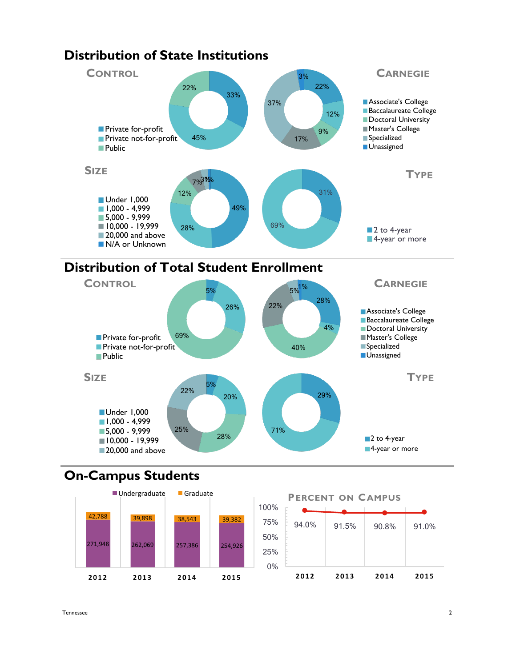

## **Distribution of State Institutions**



5%

22%

# **On-Campus Students**

**Public** 

**SIZE**





**TYPE**

**Unassigned**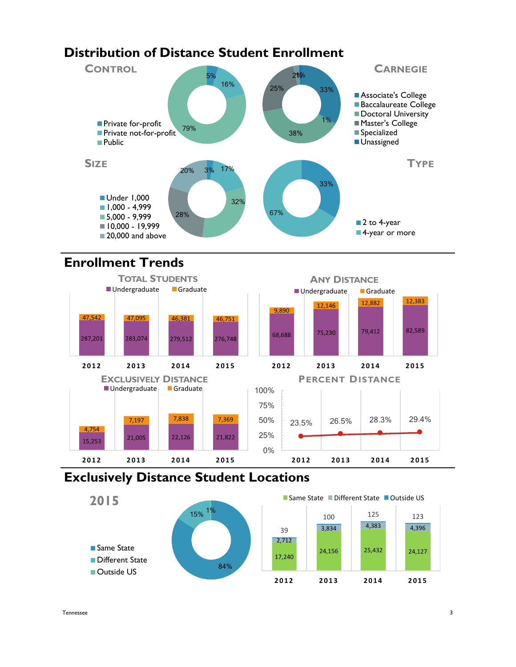# **Distribution of Distance Student Enrollment**



# **Enrollment Trends**



## **Exclusively Distance Student Locations**